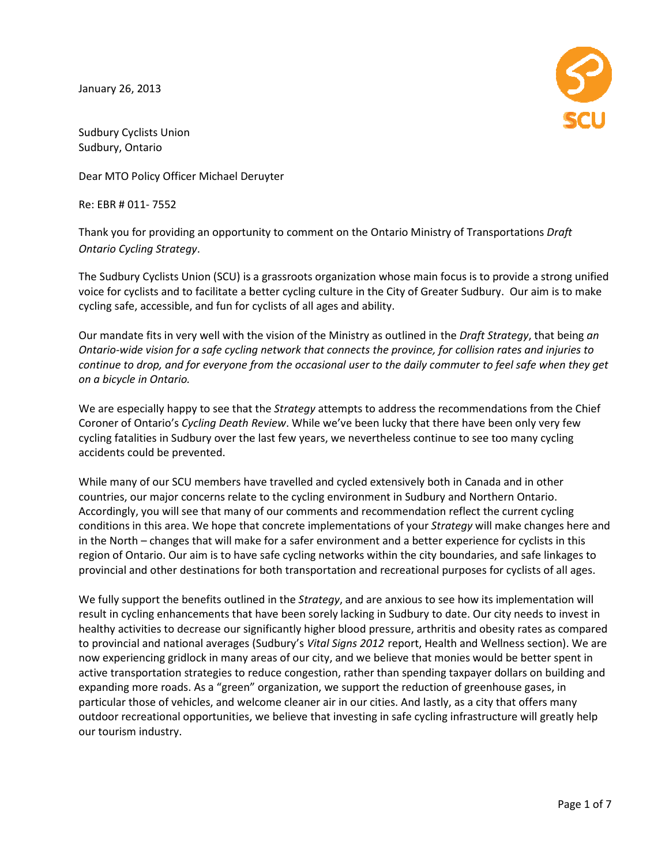January 26, 2013



Sudbury Cyclists Union Sudbury, Ontario

Dear MTO Policy Officer Michael Deruyter

Re: EBR # 011- 7552

Thank you for providing an opportunity to comment on the Ontario Ministry of Transportations Draft Ontario Cycling Strategy. MTO Policy Officer Michael Deruyter<br>BR # 011- 7552<br>< you for providing an opportunity to comment on the Ontario Ministry of Transportations *Draft*<br>rio *Cycling Strategy*.<br>udbury Cyclists Union (SCU) is a grassroots organi

The Sudbury Cyclists Union (SCU) is a grassroots organization whose main focus is to provide a strong unified<br>voice for cyclists and to facilitate a better cycling culture in the City of Greater Sudbury. Our aim is to mak voice for cyclists and to facilitate a better cycling culture in the City of Greater Sudbury. cycling safe, accessible, and fun for cyclists of all ages and ability.

Our mandate fits in very well with the vision of the Ministry as outlined in the Draft Strategy, that being an Ontario-wide vision for a safe cycling network that connects the province, for collision rates and injuries to<br>continue to drop, and for everyone from the occasional user to the daily commuter to feel safe when they ge<br>on continue to drop, and for everyone from the occasional user to the daily commuter to feel safe when they get on a bicycle in Ontario.

We are especially happy to see that the *Strategy* attempts to address the recommendations from the Chief Coroner of Ontario's Cycling Death Review. While we've been lucky that there have been only very few We are especially happy to see that the *Strategy* attempts to address the recommendations from the Quinconer of Ontario's Cycling Death Review. While we've been lucky that there have been only very fevertheless continue t accidents could be prevented.

While many of our SCU members have travelled and cycled extensively both in Canada and in other<br>countries, our major concerns relate to the cycling environment in Sudbury and Northern Ontario. countries, our major concerns relate to the cycling environment in Sudbury and Northern Ontario Accordingly, you will see that many of our comments and recommendation reflect the current cycling Accordingly, you will conditions in this area. We hope that concrete implementations of your Strategy will make changes here and in the North - changes that will make for a safer environment and a better experience for cyclists in this region of Ontario. Our aim is to have safe cycling networks within the city boundaries, and safe linkages to

provincial and other destinations for both transportation and recreational purposes for cyclists of all ages.<br>We fully support the benefits outlined in the S*trategy,* and are anxious to see how its implementation will We fully support the benefits outlined in the *Strategy*, and are anxious to see how its implementation will result in cycling enhancements that have been sorely lacking in Sudbury to date. Our city needs to invest in healthy activities to decrease our significantly higher blood pressure, arthritis and obesity rates as compared healthy activities to decrease our significantly higher blood pressure, arthritis and obesity rates as compared<br>to provincial and national averages (Sudbury's *Vital Signs 2012 r*eport, Health and Wellness section). We are now experiencing gridlock in many areas of our city, and we believe that monies would be better spent in now experiencing gridlock in many areas of our city, and we believe that monies would be better spent in<br>active transportation strategies to reduce congestion, rather than spending taxpayer dollars on building and expanding more roads. As a "green" organization, we support the reduction of greenhouse gases, in particular those of vehicles, and welcome cleaner air in our cities. And lastly, as a city that offer outdoor recreational opportunities, we believe that investing in safe cycling infrastructure will greatly help<br>our tourism industry.<br>Page 1 of 7 our tourism industry. city needs to invest in<br>esity rates as compared<br>ellness section). We are<br>Id be better spent in<br>dollars on building and<br>house gases, in<br>that offers many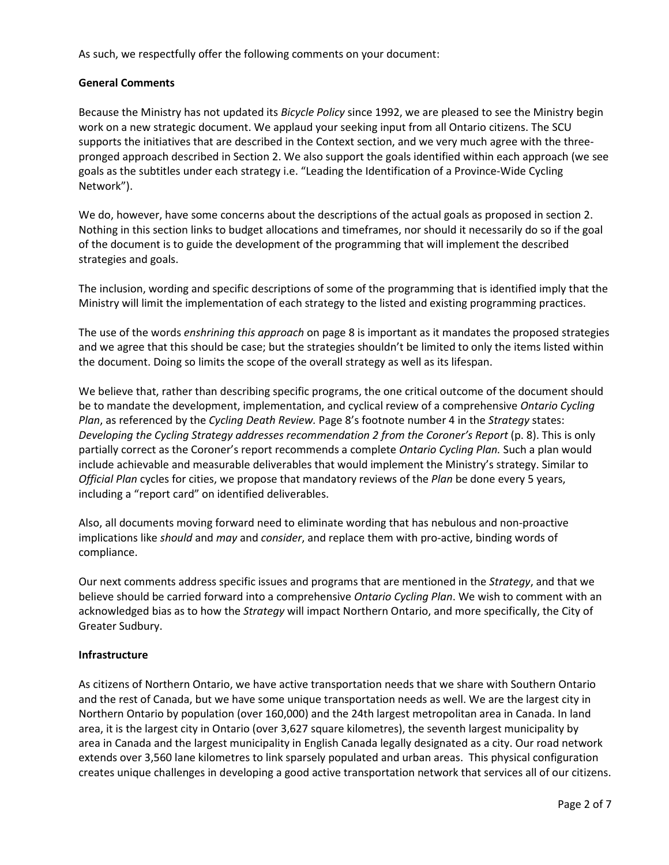As such, we respectfully offer the following comments on your document:

#### General Comments

Because the Ministry has not updated its Bicycle Policy since 1992, we are pleased to see the Ministry begin work on a new strategic document. We applaud your seeking input from all Ontario citizens. The SCU supports the initiatives that are described in the Context section, and we very much agree with the threepronged approach described in Section 2. We also support the goals identified within each approach (we see goals as the subtitles under each strategy i.e. "Leading the Identification of a Province-Wide Cycling Network").

We do, however, have some concerns about the descriptions of the actual goals as proposed in section 2. Nothing in this section links to budget allocations and timeframes, nor should it necessarily do so if the goal of the document is to guide the development of the programming that will implement the described strategies and goals.

The inclusion, wording and specific descriptions of some of the programming that is identified imply that the Ministry will limit the implementation of each strategy to the listed and existing programming practices.

The use of the words enshrining this approach on page 8 is important as it mandates the proposed strategies and we agree that this should be case; but the strategies shouldn't be limited to only the items listed within the document. Doing so limits the scope of the overall strategy as well as its lifespan.

We believe that, rather than describing specific programs, the one critical outcome of the document should be to mandate the development, implementation, and cyclical review of a comprehensive Ontario Cycling Plan, as referenced by the Cycling Death Review. Page 8's footnote number 4 in the Strategy states: Developing the Cycling Strategy addresses recommendation 2 from the Coroner's Report (p. 8). This is only partially correct as the Coroner's report recommends a complete Ontario Cycling Plan. Such a plan would include achievable and measurable deliverables that would implement the Ministry's strategy. Similar to Official Plan cycles for cities, we propose that mandatory reviews of the Plan be done every 5 years, including a "report card" on identified deliverables.

Also, all documents moving forward need to eliminate wording that has nebulous and non-proactive implications like should and may and consider, and replace them with pro-active, binding words of compliance.

Our next comments address specific issues and programs that are mentioned in the Strategy, and that we believe should be carried forward into a comprehensive Ontario Cycling Plan. We wish to comment with an acknowledged bias as to how the Strategy will impact Northern Ontario, and more specifically, the City of Greater Sudbury.

#### Infrastructure

As citizens of Northern Ontario, we have active transportation needs that we share with Southern Ontario and the rest of Canada, but we have some unique transportation needs as well. We are the largest city in Northern Ontario by population (over 160,000) and the 24th largest metropolitan area in Canada. In land area, it is the largest city in Ontario (over 3,627 square kilometres), the seventh largest municipality by area in Canada and the largest municipality in English Canada legally designated as a city. Our road network extends over 3,560 lane kilometres to link sparsely populated and urban areas. This physical configuration creates unique challenges in developing a good active transportation network that services all of our citizens.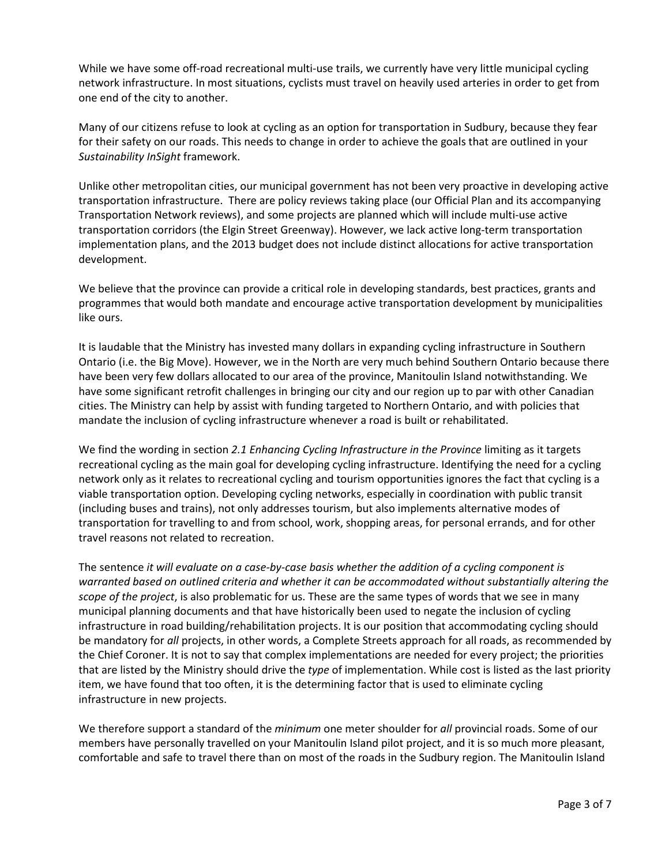While we have some off-road recreational multi-use trails, we currently have very little municipal cycling network infrastructure. In most situations, cyclists must travel on heavily used arteries in order to get from one end of the city to another.

Many of our citizens refuse to look at cycling as an option for transportation in Sudbury, because they fear for their safety on our roads. This needs to change in order to achieve the goals that are outlined in your Sustainability InSight framework.

Unlike other metropolitan cities, our municipal government has not been very proactive in developing active transportation infrastructure. There are policy reviews taking place (our Official Plan and its accompanying Transportation Network reviews), and some projects are planned which will include multi-use active transportation corridors (the Elgin Street Greenway). However, we lack active long-term transportation implementation plans, and the 2013 budget does not include distinct allocations for active transportation development.

We believe that the province can provide a critical role in developing standards, best practices, grants and programmes that would both mandate and encourage active transportation development by municipalities like ours.

It is laudable that the Ministry has invested many dollars in expanding cycling infrastructure in Southern Ontario (i.e. the Big Move). However, we in the North are very much behind Southern Ontario because there have been very few dollars allocated to our area of the province, Manitoulin Island notwithstanding. We have some significant retrofit challenges in bringing our city and our region up to par with other Canadian cities. The Ministry can help by assist with funding targeted to Northern Ontario, and with policies that mandate the inclusion of cycling infrastructure whenever a road is built or rehabilitated.

We find the wording in section 2.1 Enhancing Cycling Infrastructure in the Province limiting as it targets recreational cycling as the main goal for developing cycling infrastructure. Identifying the need for a cycling network only as it relates to recreational cycling and tourism opportunities ignores the fact that cycling is a viable transportation option. Developing cycling networks, especially in coordination with public transit (including buses and trains), not only addresses tourism, but also implements alternative modes of transportation for travelling to and from school, work, shopping areas, for personal errands, and for other travel reasons not related to recreation.

The sentence it will evaluate on a case-by-case basis whether the addition of a cycling component is warranted based on outlined criteria and whether it can be accommodated without substantially altering the scope of the project, is also problematic for us. These are the same types of words that we see in many municipal planning documents and that have historically been used to negate the inclusion of cycling infrastructure in road building/rehabilitation projects. It is our position that accommodating cycling should be mandatory for all projects, in other words, a Complete Streets approach for all roads, as recommended by the Chief Coroner. It is not to say that complex implementations are needed for every project; the priorities that are listed by the Ministry should drive the type of implementation. While cost is listed as the last priority item, we have found that too often, it is the determining factor that is used to eliminate cycling infrastructure in new projects.

We therefore support a standard of the *minimum* one meter shoulder for all provincial roads. Some of our members have personally travelled on your Manitoulin Island pilot project, and it is so much more pleasant, comfortable and safe to travel there than on most of the roads in the Sudbury region. The Manitoulin Island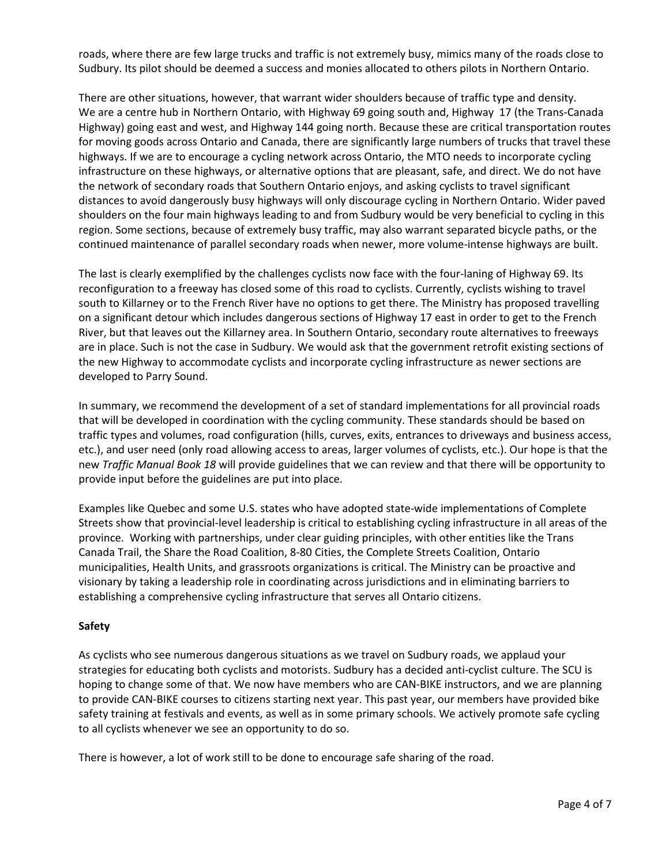roads, where there are few large trucks and traffic is not extremely busy, mimics many of the roads close to Sudbury. Its pilot should be deemed a success and monies allocated to others pilots in Northern Ontario.

There are other situations, however, that warrant wider shoulders because of traffic type and density. We are a centre hub in Northern Ontario, with Highway 69 going south and, Highway 17 (the Trans-Canada Highway) going east and west, and Highway 144 going north. Because these are critical transportation routes for moving goods across Ontario and Canada, there are significantly large numbers of trucks that travel these highways. If we are to encourage a cycling network across Ontario, the MTO needs to incorporate cycling infrastructure on these highways, or alternative options that are pleasant, safe, and direct. We do not have the network of secondary roads that Southern Ontario enjoys, and asking cyclists to travel significant distances to avoid dangerously busy highways will only discourage cycling in Northern Ontario. Wider paved shoulders on the four main highways leading to and from Sudbury would be very beneficial to cycling in this region. Some sections, because of extremely busy traffic, may also warrant separated bicycle paths, or the continued maintenance of parallel secondary roads when newer, more volume-intense highways are built.

The last is clearly exemplified by the challenges cyclists now face with the four-laning of Highway 69. Its reconfiguration to a freeway has closed some of this road to cyclists. Currently, cyclists wishing to travel south to Killarney or to the French River have no options to get there. The Ministry has proposed travelling on a significant detour which includes dangerous sections of Highway 17 east in order to get to the French River, but that leaves out the Killarney area. In Southern Ontario, secondary route alternatives to freeways are in place. Such is not the case in Sudbury. We would ask that the government retrofit existing sections of the new Highway to accommodate cyclists and incorporate cycling infrastructure as newer sections are developed to Parry Sound.

In summary, we recommend the development of a set of standard implementations for all provincial roads that will be developed in coordination with the cycling community. These standards should be based on traffic types and volumes, road configuration (hills, curves, exits, entrances to driveways and business access, etc.), and user need (only road allowing access to areas, larger volumes of cyclists, etc.). Our hope is that the new Traffic Manual Book 18 will provide guidelines that we can review and that there will be opportunity to provide input before the guidelines are put into place.

Examples like Quebec and some U.S. states who have adopted state-wide implementations of Complete Streets show that provincial-level leadership is critical to establishing cycling infrastructure in all areas of the province. Working with partnerships, under clear guiding principles, with other entities like the Trans Canada Trail, the Share the Road Coalition, 8-80 Cities, the Complete Streets Coalition, Ontario municipalities, Health Units, and grassroots organizations is critical. The Ministry can be proactive and visionary by taking a leadership role in coordinating across jurisdictions and in eliminating barriers to establishing a comprehensive cycling infrastructure that serves all Ontario citizens.

## Safety

As cyclists who see numerous dangerous situations as we travel on Sudbury roads, we applaud your strategies for educating both cyclists and motorists. Sudbury has a decided anti-cyclist culture. The SCU is hoping to change some of that. We now have members who are CAN-BIKE instructors, and we are planning to provide CAN-BIKE courses to citizens starting next year. This past year, our members have provided bike safety training at festivals and events, as well as in some primary schools. We actively promote safe cycling to all cyclists whenever we see an opportunity to do so.

There is however, a lot of work still to be done to encourage safe sharing of the road.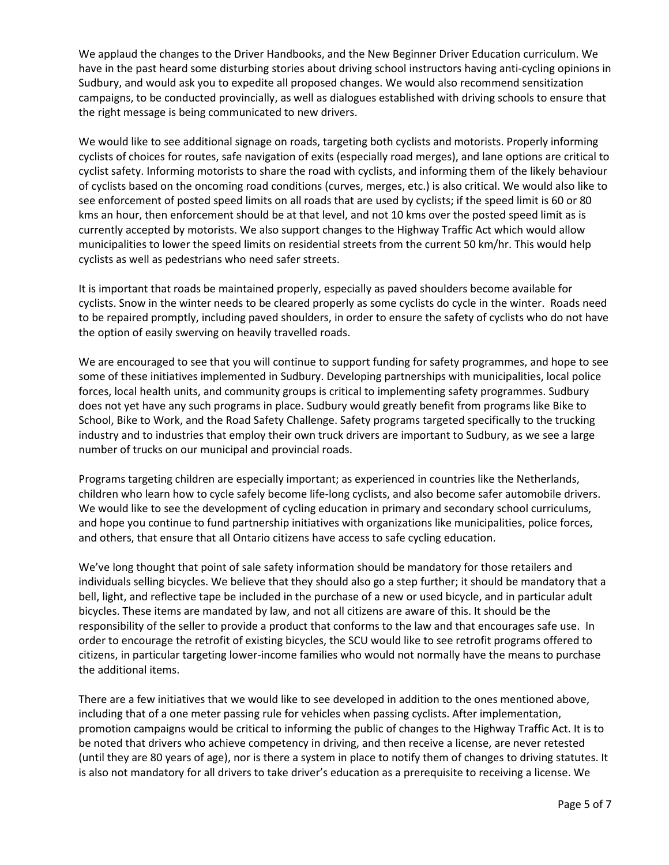We applaud the changes to the Driver Handbooks, and the New Beginner Driver Education curriculum. We have in the past heard some disturbing stories about driving school instructors having anti-cycling opinions in Sudbury, and would ask you to expedite all proposed changes. We would also recommend sensitization campaigns, to be conducted provincially, as well as dialogues established with driving schools to ensure that the right message is being communicated to new drivers.

We would like to see additional signage on roads, targeting both cyclists and motorists. Properly informing cyclists of choices for routes, safe navigation of exits (especially road merges), and lane options are critical to cyclist safety. Informing motorists to share the road with cyclists, and informing them of the likely behaviour of cyclists based on the oncoming road conditions (curves, merges, etc.) is also critical. We would also like to see enforcement of posted speed limits on all roads that are used by cyclists; if the speed limit is 60 or 80 kms an hour, then enforcement should be at that level, and not 10 kms over the posted speed limit as is currently accepted by motorists. We also support changes to the Highway Traffic Act which would allow municipalities to lower the speed limits on residential streets from the current 50 km/hr. This would help cyclists as well as pedestrians who need safer streets.

It is important that roads be maintained properly, especially as paved shoulders become available for cyclists. Snow in the winter needs to be cleared properly as some cyclists do cycle in the winter. Roads need to be repaired promptly, including paved shoulders, in order to ensure the safety of cyclists who do not have the option of easily swerving on heavily travelled roads.

We are encouraged to see that you will continue to support funding for safety programmes, and hope to see some of these initiatives implemented in Sudbury. Developing partnerships with municipalities, local police forces, local health units, and community groups is critical to implementing safety programmes. Sudbury does not yet have any such programs in place. Sudbury would greatly benefit from programs like Bike to School, Bike to Work, and the Road Safety Challenge. Safety programs targeted specifically to the trucking industry and to industries that employ their own truck drivers are important to Sudbury, as we see a large number of trucks on our municipal and provincial roads.

Programs targeting children are especially important; as experienced in countries like the Netherlands, children who learn how to cycle safely become life-long cyclists, and also become safer automobile drivers. We would like to see the development of cycling education in primary and secondary school curriculums, and hope you continue to fund partnership initiatives with organizations like municipalities, police forces, and others, that ensure that all Ontario citizens have access to safe cycling education.

We've long thought that point of sale safety information should be mandatory for those retailers and individuals selling bicycles. We believe that they should also go a step further; it should be mandatory that a bell, light, and reflective tape be included in the purchase of a new or used bicycle, and in particular adult bicycles. These items are mandated by law, and not all citizens are aware of this. It should be the responsibility of the seller to provide a product that conforms to the law and that encourages safe use. In order to encourage the retrofit of existing bicycles, the SCU would like to see retrofit programs offered to citizens, in particular targeting lower-income families who would not normally have the means to purchase the additional items.

There are a few initiatives that we would like to see developed in addition to the ones mentioned above, including that of a one meter passing rule for vehicles when passing cyclists. After implementation, promotion campaigns would be critical to informing the public of changes to the Highway Traffic Act. It is to be noted that drivers who achieve competency in driving, and then receive a license, are never retested (until they are 80 years of age), nor is there a system in place to notify them of changes to driving statutes. It is also not mandatory for all drivers to take driver's education as a prerequisite to receiving a license. We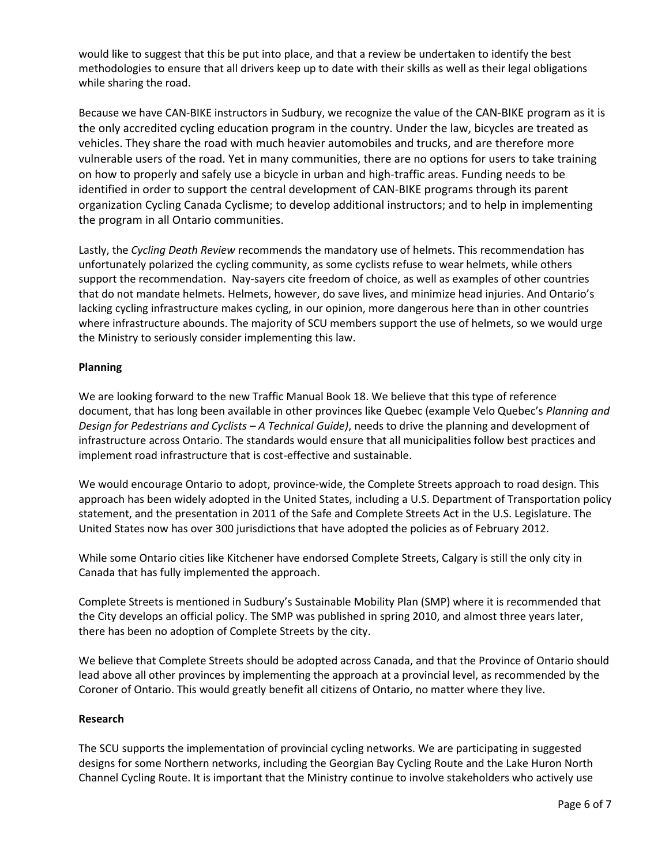would like to suggest that this be put into place, and that a review be undertaken to identify the best methodologies to ensure that all drivers keep up to date with their skills as well as their legal obligations while sharing the road.

Because we have CAN-BIKE instructors in Sudbury, we recognize the value of the CAN-BIKE program as it is the only accredited cycling education program in the country. Under the law, bicycles are treated as vehicles. They share the road with much heavier automobiles and trucks, and are therefore more vulnerable users of the road. Yet in many communities, there are no options for users to take training on how to properly and safely use a bicycle in urban and high-traffic areas. Funding needs to be identified in order to support the central development of CAN-BIKE programs through its parent organization Cycling Canada Cyclisme; to develop additional instructors; and to help in implementing the program in all Ontario communities.

Lastly, the Cycling Death Review recommends the mandatory use of helmets. This recommendation has unfortunately polarized the cycling community, as some cyclists refuse to wear helmets, while others support the recommendation. Nay-sayers cite freedom of choice, as well as examples of other countries that do not mandate helmets. Helmets, however, do save lives, and minimize head injuries. And Ontario's lacking cycling infrastructure makes cycling, in our opinion, more dangerous here than in other countries where infrastructure abounds. The majority of SCU members support the use of helmets, so we would urge the Ministry to seriously consider implementing this law.

# Planning

We are looking forward to the new Traffic Manual Book 18. We believe that this type of reference document, that has long been available in other provinces like Quebec (example Velo Quebec's Planning and Design for Pedestrians and Cyclists – A Technical Guide), needs to drive the planning and development of infrastructure across Ontario. The standards would ensure that all municipalities follow best practices and implement road infrastructure that is cost-effective and sustainable.

We would encourage Ontario to adopt, province-wide, the Complete Streets approach to road design. This approach has been widely adopted in the United States, including a U.S. Department of Transportation policy statement, and the presentation in 2011 of the Safe and Complete Streets Act in the U.S. Legislature. The United States now has over 300 jurisdictions that have adopted the policies as of February 2012.

While some Ontario cities like Kitchener have endorsed Complete Streets, Calgary is still the only city in Canada that has fully implemented the approach.

Complete Streets is mentioned in Sudbury's Sustainable Mobility Plan (SMP) where it is recommended that the City develops an official policy. The SMP was published in spring 2010, and almost three years later, there has been no adoption of Complete Streets by the city.

We believe that Complete Streets should be adopted across Canada, and that the Province of Ontario should lead above all other provinces by implementing the approach at a provincial level, as recommended by the Coroner of Ontario. This would greatly benefit all citizens of Ontario, no matter where they live.

## Research

The SCU supports the implementation of provincial cycling networks. We are participating in suggested designs for some Northern networks, including the Georgian Bay Cycling Route and the Lake Huron North Channel Cycling Route. It is important that the Ministry continue to involve stakeholders who actively use